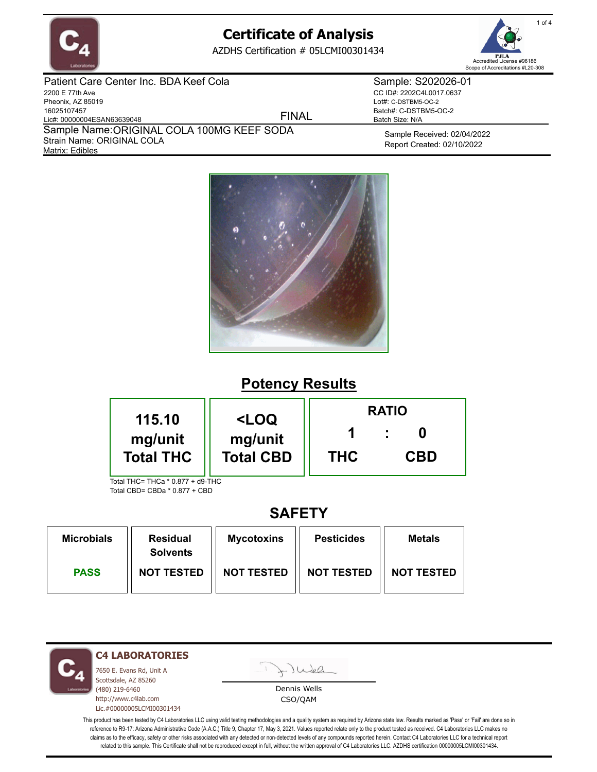

AZDHS Certification # 05LCMI00301434



Patient Care Center Inc. BDA Keef Cola 2200 E 77th Ave Pheonix, AZ 85019 16025107457 Lic#: 00000004ESAN63639048 Matrix: Edibles Sample Name: ORIGINAL COLA 100MG KEEF SODA Strain Name: ORIGINAL COLA FINAL Sample: S202026-01 CC ID#: 2202C4L0017.0637 Lot#: C-DSTBM5-OC-2 Batch#: C-DSTBM5-OC-2 Batch Size: N/A

> Sample Received: 02/04/2022 Report Created: 02/10/2022



# **Potency Results**

| 115.10                           | <loq<br>mg/unit<br/><b>Total CBD</b></loq<br> | <b>RATIO</b> |            |  |  |
|----------------------------------|-----------------------------------------------|--------------|------------|--|--|
| mg/unit<br><b>Total THC</b>      |                                               | <b>THC</b>   | <b>CBD</b> |  |  |
| Total THC= THCa * 0.877 + d9-THC |                                               |              |            |  |  |

Total CBD= CBDa \* 0.877 + CBD

## **SAFETY**

| <b>Microbials</b> | <b>Residual</b><br><b>Solvents</b> | <b>Mycotoxins</b> | <b>Pesticides</b> | <b>Metals</b>     |
|-------------------|------------------------------------|-------------------|-------------------|-------------------|
| <b>PASS</b>       | <b>NOT TESTED</b>                  | <b>NOT TESTED</b> | <b>NOT TESTED</b> | <b>NOT TESTED</b> |

**C4 LABORATORIES**

7650 E. Evans Rd, Unit A Scottsdale, AZ 85260 (480) 219-6460 http://www.c4lab.com Lic.#00000005LCMI00301434

Juel

Dennis Wells CSO/QAM

This product has been tested by C4 Laboratories LLC using valid testing methodologies and a quality system as required by Arizona state law. Results marked as 'Pass' or 'Fail' are done so in reference to R9-17: Arizona Administrative Code (A.A.C.) Title 9, Chapter 17, May 3, 2021. Values reported relate only to the product tested as received. C4 Laboratories LLC makes no claims as to the efficacy, safety or other risks associated with any detected or non-detected levels of any compounds reported herein. Contact C4 Laboratories LLC for a technical report related to this sample. This Certificate shall not be reproduced except in full, without the written approval of C4 Laboratories LLC. AZDHS certification 00000005LCMI00301434.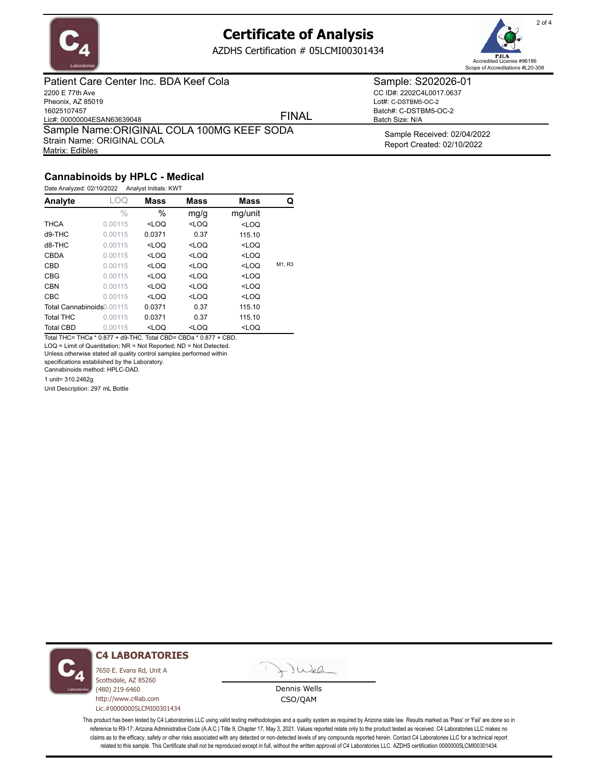

AZDHS Certification # 05LCMI00301434



Patient Care Center Inc. BDA Keef Cola 2200 E 77th Ave Pheonix, AZ 85019 16025107457 Lic#: 00000004ESAN63639048 Matrix: Edibles Sample Name: ORIGINAL COLA 100MG KEEF SODA Strain Name: ORIGINAL COLA FINAL

Sample: S202026-01 CC ID#: 2202C4L0017.0637 Lot#: C-DSTBM5-OC-2

Batch#: C-DSTBM5-OC-2 Batch Size: N/A

> Sample Received: 02/04/2022 Report Created: 02/10/2022

### **Cannabinoids by HPLC - Medical**

| Date Analyzed: 02/10/2022 |         | Analyst Initials: KWT                                                                       |             |                                    |        |
|---------------------------|---------|---------------------------------------------------------------------------------------------|-------------|------------------------------------|--------|
| Analyte                   | LOQ     | <b>Mass</b>                                                                                 | <b>Mass</b> | Mass                               | Q      |
|                           | $\%$    | $\%$                                                                                        | mg/g        | mg/unit                            |        |
| <b>THCA</b>               | 0.00115 | $<$ LOQ                                                                                     | $<$ LOQ     | <loq< td=""><td></td></loq<>       |        |
| d9-THC                    | 0.00115 | 0.0371                                                                                      | 0.37        | 115.10                             |        |
| $d8-THC$                  | 0.00115 | $<$ LOQ                                                                                     | $<$ LOQ     | <loq< td=""><td></td></loq<>       |        |
| <b>CBDA</b>               | 0.00115 | $<$ LOQ                                                                                     | $<$ LOQ     | <loq< td=""><td></td></loq<>       |        |
| CBD                       | 0.00115 | <loq< td=""><td><math>&lt;</math>LOQ</td><td><loq< td=""><td>M1, R3</td></loq<></td></loq<> | $<$ LOQ     | <loq< td=""><td>M1, R3</td></loq<> | M1, R3 |
| <b>CBG</b>                | 0.00115 | $<$ LOQ                                                                                     | $<$ LOQ     | <loq< td=""><td></td></loq<>       |        |
| <b>CBN</b>                | 0.00115 | $<$ LOQ                                                                                     | $<$ LOQ     | <loq< td=""><td></td></loq<>       |        |
| <b>CBC</b>                | 0.00115 | $<$ LOQ                                                                                     | $<$ LOQ     | <loq< td=""><td></td></loq<>       |        |
| Total Cannabinoids0.00115 |         | 0.0371                                                                                      | 0.37        | 115.10                             |        |
| <b>Total THC</b>          | 0.00115 | 0.0371                                                                                      | 0.37        | 115.10                             |        |
| <b>Total CBD</b>          | 0.00115 | $<$ LOQ                                                                                     | $<$ LOQ     | <loq< td=""><td></td></loq<>       |        |

Total THC= THCa \* 0.877 + d9-THC. Total CBD= CBDa \* 0.877 + CBD. LOQ = Limit of Quantitation; NR = Not Reported; ND = Not Detected.

Unless otherwise stated all quality control samples performed within

specifications established by the Laboratory.

Cannabinoids method: HPLC-DAD.

1 unit= 310.2462g

Unit Description: 297 mL Bottle



#### **C4 LABORATORIES**

7650 E. Evans Rd, Unit A Scottsdale, AZ 85260 (480) 219-6460 http://www.c4lab.com Lic.#00000005LCMI00301434

Juel

Dennis Wells CSO/QAM

This product has been tested by C4 Laboratories LLC using valid testing methodologies and a quality system as required by Arizona state law. Results marked as 'Pass' or 'Fail' are done so in reference to R9-17: Arizona Administrative Code (A.A.C.) Title 9, Chapter 17, May 3, 2021. Values reported relate only to the product tested as received. C4 Laboratories LLC makes no claims as to the efficacy, safety or other risks associated with any detected or non-detected levels of any compounds reported herein. Contact C4 Laboratories LLC for a technical report related to this sample. This Certificate shall not be reproduced except in full, without the written approval of C4 Laboratories LLC. AZDHS certification 00000005LCMI00301434.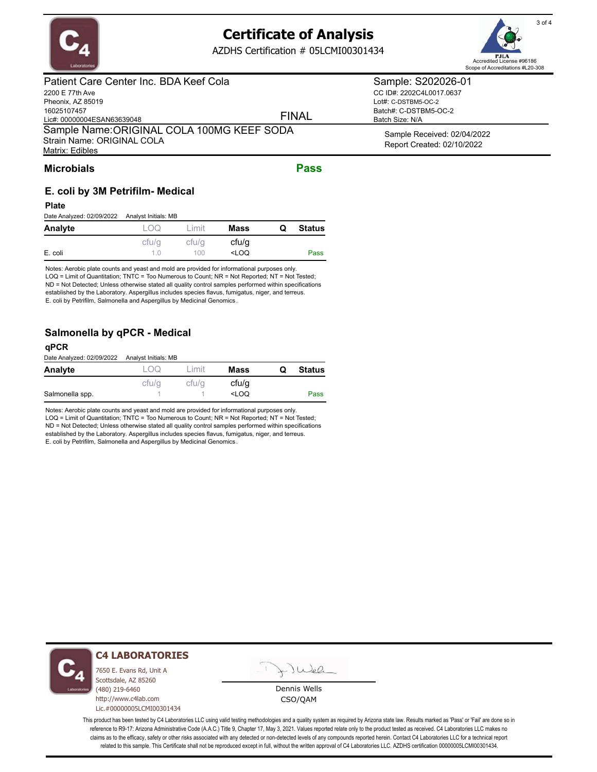

AZDHS Certification # 05LCMI00301434



### Patient Care Center Inc. BDA Keef Cola

2200 E 77th Ave Pheonix, AZ 85019 16025107457 Lic#: 00000004ESAN63639048 Matrix: Edibles Sample Name: ORIGINAL COLA 100MG KEEF SODA Strain Name: ORIGINAL COLA

#### FINAL

CC ID#: 2202C4L0017.0637 Lot#: C-DSTBM5-OC-2

Batch#: C-DSTBM5-OC-2 Batch Size: N/A

> Sample Received: 02/04/2022 Report Created: 02/10/2022

#### **Microbials Pass**

## **E. coli by 3M Petrifilm- Medical**

**Plate**

| Date Analyzed: 02/09/2022 | Analyst Initials: MB |        |                                                  |   |               |
|---------------------------|----------------------|--------|--------------------------------------------------|---|---------------|
| Analyte                   | LOO.                 | 1 imit | Mass                                             | O | <b>Status</b> |
|                           | cfu/q                | cfu/q  | cfu/q                                            |   |               |
| E. coli                   | 1 N                  | 100    | <loq< td=""><td></td><td><b>Pass</b></td></loq<> |   | <b>Pass</b>   |

Notes: Aerobic plate counts and yeast and mold are provided for informational purposes only. LOQ = Limit of Quantitation; TNTC = Too Numerous to Count; NR = Not Reported; NT = Not Tested; ND = Not Detected; Unless otherwise stated all quality control samples performed within specifications established by the Laboratory. Aspergillus includes species flavus, fumigatus, niger, and terreus. E. coli by Petrifilm, Salmonella and Aspergillus by Medicinal Genomics .

### **Salmonella by qPCR - Medical**

#### **qPCR**

Date Analyzed: 02/09/2022 Analyst Initials: MB

| ----------<br>-------------- | --------- |        |                                           |   |               |
|------------------------------|-----------|--------|-------------------------------------------|---|---------------|
| Analyte                      | OQ        | I imit | Mass                                      | Q | <b>Status</b> |
|                              | cfu/q     | cfu/q  | cfu/q                                     |   |               |
| Salmonella spp.              |           |        | <loq< td=""><td></td><td>Pass</td></loq<> |   | Pass          |

Notes: Aerobic plate counts and yeast and mold are provided for informational purposes only. LOQ = Limit of Quantitation; TNTC = Too Numerous to Count; NR = Not Reported; NT = Not Tested; ND = Not Detected; Unless otherwise stated all quality control samples performed within specifications established by the Laboratory. Aspergillus includes species flavus, fumigatus, niger, and terreus. E. coli by Petrifilm, Salmonella and Aspergillus by Medicinal Genomics .



#### **C4 LABORATORIES**

7650 E. Evans Rd, Unit A Scottsdale, AZ 85260 (480) 219-6460 http://www.c4lab.com Lic.#00000005LCMI00301434

Juel

Dennis Wells CSO/QAM

This product has been tested by C4 Laboratories LLC using valid testing methodologies and a quality system as required by Arizona state law. Results marked as 'Pass' or 'Fail' are done so in reference to R9-17: Arizona Administrative Code (A.A.C.) Title 9, Chapter 17, May 3, 2021. Values reported relate only to the product tested as received. C4 Laboratories LLC makes no claims as to the efficacy, safety or other risks associated with any detected or non-detected levels of any compounds reported herein. Contact C4 Laboratories LLC for a technical report related to this sample. This Certificate shall not be reproduced except in full, without the written approval of C4 Laboratories LLC. AZDHS certification 00000005LCMI00301434.

### Sample: S202026-01